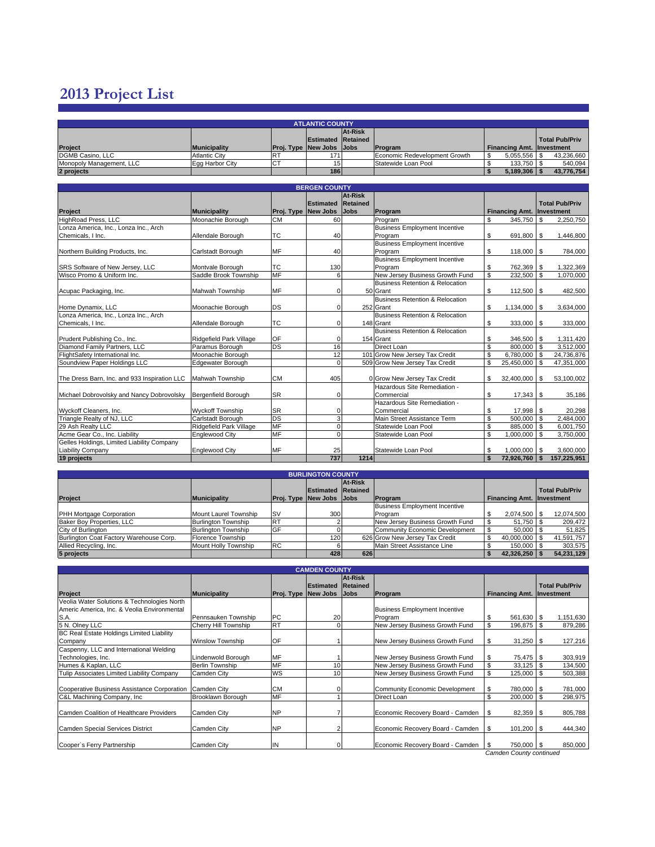## **2013 Project List**

| <b>ATLANTIC COUNTY</b>   |                      |     |                                  |  |                               |                                  |                |  |  |  |
|--------------------------|----------------------|-----|----------------------------------|--|-------------------------------|----------------------------------|----------------|--|--|--|
|                          | At-Risk              |     |                                  |  |                               |                                  |                |  |  |  |
|                          |                      |     | <b>Estimated Retained</b>        |  |                               |                                  | Total Pub/Priv |  |  |  |
| Project                  | <b>Municipality</b>  |     | <b>Proj. Type New Jobs JJobs</b> |  | Program                       | <b>Financing Amt. Investment</b> |                |  |  |  |
| DGMB Casino, LLC         | <b>Atlantic City</b> | IR٦ | 171 <sub>1</sub>                 |  | Economic Redevelopment Growth | $5,055,556$ \\$                  | 43,236,660     |  |  |  |
| Monopoly Management, LLC | Egg Harbor City      | IC- |                                  |  | Statewide Loan Pool           | 133.750 \$                       | 540,094        |  |  |  |
| 2 projects               |                      |     | 186                              |  |                               | $5,189,306$   \$                 | 43,776,754     |  |  |  |

| <b>BERGEN COUNTY</b>                         |                         |           |                           |                |                                      |                                  |                                       |  |  |  |  |  |
|----------------------------------------------|-------------------------|-----------|---------------------------|----------------|--------------------------------------|----------------------------------|---------------------------------------|--|--|--|--|--|
|                                              |                         |           |                           | <b>At-Risk</b> |                                      |                                  |                                       |  |  |  |  |  |
|                                              |                         |           | <b>Estimated Retained</b> |                |                                      |                                  | <b>Total Pub/Priv</b>                 |  |  |  |  |  |
| Project                                      | <b>Municipality</b>     |           | Proj. Type New Jobs       | <b>Jobs</b>    | Program                              | <b>Financing Amt. Investment</b> |                                       |  |  |  |  |  |
| HighRoad Press, LLC                          | Moonachie Borough       | <b>CM</b> | 60                        |                | Program                              | \$<br>345,750                    | \$<br>2,250,750                       |  |  |  |  |  |
| Lonza America, Inc., Lonza Inc., Arch        |                         |           |                           |                | <b>Business Employment Incentive</b> |                                  |                                       |  |  |  |  |  |
| Chemicals, I Inc.                            | Allendale Borough       | <b>TC</b> | 40                        |                | Program                              | \$<br>691,800 \$                 | 1,446,800                             |  |  |  |  |  |
|                                              |                         |           |                           |                | <b>Business Employment Incentive</b> |                                  |                                       |  |  |  |  |  |
| Northern Building Products, Inc.             | Carlstadt Borough       | <b>MF</b> | 40                        |                | Program                              | \$<br>118,000 \$                 | 784,000                               |  |  |  |  |  |
|                                              |                         |           |                           |                | <b>Business Employment Incentive</b> |                                  |                                       |  |  |  |  |  |
| SRS Software of New Jersey, LLC              | Montvale Borough        | <b>TC</b> | 130                       |                | Program                              | \$<br>762,369 \$                 | 1,322,369                             |  |  |  |  |  |
| Wisco Promo & Uniform Inc.                   | Saddle Brook Township   | <b>MF</b> | 6                         |                | New Jersey Business Growth Fund      | \$<br>232,500                    | Τs<br>1,070,000                       |  |  |  |  |  |
|                                              |                         |           |                           |                | Business Retention & Relocation      |                                  |                                       |  |  |  |  |  |
| Acupac Packaging, Inc.                       | Mahwah Township         | <b>MF</b> | 0                         |                | 50 Grant                             | \$<br>112,500 \$                 | 482,500                               |  |  |  |  |  |
|                                              |                         |           |                           |                | Business Retention & Relocation      |                                  |                                       |  |  |  |  |  |
| Home Dynamix, LLC                            | Moonachie Borough       | DS        | 0                         |                | 252 Grant                            | \$<br>1,134,000                  | 3,634,000<br>$\overline{\phantom{a}}$ |  |  |  |  |  |
| Lonza America, Inc., Lonza Inc., Arch        |                         |           |                           |                | Business Retention & Relocation      |                                  |                                       |  |  |  |  |  |
| Chemicals, I Inc.                            | Allendale Borough       | <b>TC</b> | 0                         |                | 148 Grant                            | \$<br>333,000 \$                 | 333,000                               |  |  |  |  |  |
|                                              |                         |           |                           |                | Business Retention & Relocation      |                                  |                                       |  |  |  |  |  |
| Prudent Publishing Co., Inc.                 | Ridgefield Park Village | OF        | 0                         |                | 154 Grant                            | \$<br>346,500 \$                 | 1,311,420                             |  |  |  |  |  |
| Diamond Family Partners, LLC                 | Paramus Borough         | DS        | 16                        |                | Direct Loan                          | \$<br>800,000                    | \$<br>3,512,000                       |  |  |  |  |  |
| FlightSafety International Inc.              | Moonachie Borough       |           | 12                        |                | 101 Grow New Jersey Tax Credit       | \$<br>6,780,000                  | <b>S</b><br>24,736,876                |  |  |  |  |  |
| Soundview Paper Holdings LLC                 | Edgewater Borough       |           | $\Omega$                  |                | 509 Grow New Jersey Tax Credit       | \$<br>25,450,000                 | \$<br>47,351,000                      |  |  |  |  |  |
|                                              |                         |           |                           |                |                                      |                                  |                                       |  |  |  |  |  |
| The Dress Barn, Inc. and 933 Inspiration LLC | Mahwah Township         | <b>CM</b> | 405                       |                | 0 Grow New Jersey Tax Credit         | \$<br>32,400,000 \$              | 53,100,002                            |  |  |  |  |  |
|                                              |                         |           |                           |                | Hazardous Site Remediation -         |                                  |                                       |  |  |  |  |  |
| Michael Dobrovolsky and Nancy Dobrovolsky    | Bergenfield Borough     | <b>SR</b> | 0                         |                | Commercial                           | \$<br>$17,343$ \$                | 35,186                                |  |  |  |  |  |
|                                              |                         |           |                           |                | Hazardous Site Remediation -         |                                  |                                       |  |  |  |  |  |
| Wyckoff Cleaners, Inc.                       | <b>Wyckoff Township</b> | <b>SR</b> | 0                         |                | Commercial                           | \$<br>17,998 \$                  | 20,298                                |  |  |  |  |  |
| Triangle Realty of NJ, LLC                   | Carlstadt Borough       | DS        | 3                         |                | Main Street Assistance Term          | \$<br>500,000                    | l s<br>2,484,000                      |  |  |  |  |  |
| 29 Ash Realty LLC                            | Ridgefield Park Village | <b>MF</b> | 0                         |                | Statewide Loan Pool                  | \$<br>885,000 \$                 | 6,001,750                             |  |  |  |  |  |
| Acme Gear Co., Inc. Liability                | <b>Englewood City</b>   | <b>MF</b> | $\Omega$                  |                | Statewide Loan Pool                  | \$<br>1,000,000 \$               | 3,750,000                             |  |  |  |  |  |
| Gelles Holdings, Limited Liability Company   |                         |           |                           |                |                                      |                                  |                                       |  |  |  |  |  |
| <b>Liability Company</b>                     | <b>Englewood City</b>   | <b>MF</b> | 25                        |                | Statewide Loan Pool                  | \$<br>1,000,000 \$               | 3,600,000                             |  |  |  |  |  |
| 19 projects                                  |                         |           | 737                       | 1214           |                                      | \$<br>72,926,760 \$              | 157,225,951                           |  |  |  |  |  |

|                                         |                            |            | <b>BURLINGTON COUNTY</b>        |         |                                      |                                  |                       |
|-----------------------------------------|----------------------------|------------|---------------------------------|---------|--------------------------------------|----------------------------------|-----------------------|
|                                         |                            |            |                                 | At-Risk |                                      |                                  |                       |
|                                         |                            |            | <b>Estimated Retained</b>       |         |                                      |                                  | <b>Total Pub/Priv</b> |
| Project                                 | Municipality               |            | <b>Proj. Type New Jobs Jobs</b> |         | Program                              | <b>Financing Amt. Investment</b> |                       |
|                                         |                            |            |                                 |         | <b>Business Employment Incentive</b> |                                  |                       |
| PHH Mortgage Corporation                | Mount Laurel Township      | <b>ISV</b> | 300                             |         | Program                              | 2,074,500 \$                     | 12,074,500            |
| Baker Boy Properties, LLC               | <b>Burlington Township</b> | <b>IRT</b> |                                 |         | New Jersey Business Growth Fund      | $51,750$ \$                      | 209,472               |
| City of Burlington                      | <b>Burlington Township</b> | <b>GF</b>  |                                 |         | Community Economic Development       | $50.000$ \;                      | 51,825                |
| Burlington Coat Factory Warehouse Corp. | Florence Township          |            | 120 <sub>1</sub>                |         | 626 Grow New Jersey Tax Credit       | 40.000.000 \$                    | 41,591,757            |
| Allied Recycling, Inc.                  | Mount Holly Township       | <b>RC</b>  |                                 |         | Main Street Assistance Line          | 150,000 \$                       | 303,575               |
| 5 projects                              |                            |            | 428                             | 626     |                                      | 42,326,250                       | 54,231,129            |

|                                             |                         |                     | <b>CAMDEN COUNTY</b> |                                    |                                       |                                  |                       |  |  |
|---------------------------------------------|-------------------------|---------------------|----------------------|------------------------------------|---------------------------------------|----------------------------------|-----------------------|--|--|
| Project                                     | <b>Municipality</b>     | Proj. Type New Jobs | <b>Estimated</b>     | At-Risk<br>Retained<br><b>Jobs</b> | Program                               | <b>Financing Amt. Investment</b> | <b>Total Pub/Priv</b> |  |  |
| Veolia Water Solutions & Technologies North |                         |                     |                      |                                    |                                       |                                  |                       |  |  |
| Americ America, Inc. & Veolia Environmental |                         |                     |                      |                                    | <b>Business Employment Incentive</b>  |                                  |                       |  |  |
| S.A.                                        | Pennsauken Township     | PC                  | 20                   |                                    | Program                               | 561,630 \$<br>\$                 | 1,151,630             |  |  |
| 5 N. Olney LLC                              | Cherry Hill Township    | RT                  |                      |                                    | New Jersey Business Growth Fund       | \$<br>196,875 \$                 | 879,286               |  |  |
| BC Real Estate Holdings Limited Liability   |                         |                     |                      |                                    |                                       |                                  |                       |  |  |
| Company                                     | <b>Winslow Township</b> | OF                  |                      |                                    | New Jersey Business Growth Fund       | \$<br>$31,250$ \$                | 127,216               |  |  |
| Caspenny, LLC and International Welding     |                         |                     |                      |                                    |                                       |                                  |                       |  |  |
| Technologies, Inc.                          | Lindenwold Borough      | MF                  |                      |                                    | New Jersey Business Growth Fund       | 75,475 \$<br>\$                  | 303,919               |  |  |
| Humes & Kaplan, LLC                         | <b>Berlin Township</b>  | MF                  | 10                   |                                    | New Jersey Business Growth Fund       | \$<br>$33,125$ \$                | 134,500               |  |  |
| Tulip Associates Limited Liability Company  | Camden City             | <b>WS</b>           | 10                   |                                    | New Jersey Business Growth Fund       | \$<br>125,000 \$                 | 503,388               |  |  |
| Cooperative Business Assistance Corporation | Camden City             | <b>CM</b>           |                      |                                    | <b>Community Economic Development</b> | \$<br>780,000 \$                 | 781,000               |  |  |
| C&L Machining Company, Inc.                 | Brooklawn Borough       | MF                  |                      |                                    | Direct Loan                           | \$<br>$200,000$ \ \$             | 298,975               |  |  |
| Camden Coalition of Healthcare Providers    | Camden City             | <b>NP</b>           |                      |                                    | Economic Recovery Board - Camden      | 82,359 \$<br>- \$                | 805,788               |  |  |
| Camden Special Services District            | Camden City             | <b>NP</b>           |                      |                                    | Economic Recovery Board - Camden      | \$<br>101,200 \$                 | 444,340               |  |  |
| Cooper's Ferry Partnership                  | Camden City             | IN                  |                      |                                    | Economic Recovery Board - Camden      | 750,000 \$<br>- \$               | 850,000               |  |  |
| Camden County continued                     |                         |                     |                      |                                    |                                       |                                  |                       |  |  |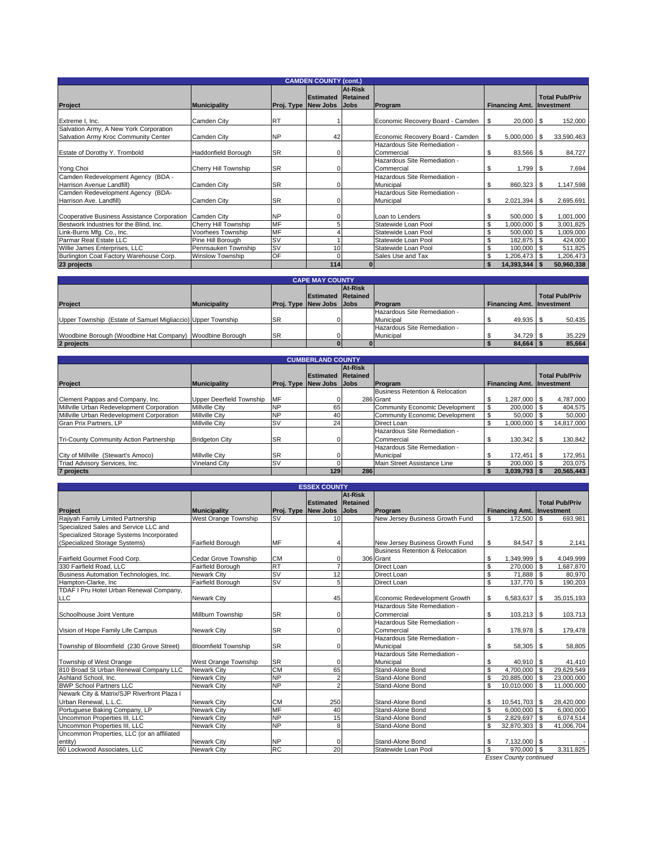|                                                                                |                         |           | <b>CAMDEN COUNTY (cont.)</b>                 |                     |                                            |                                  |                       |
|--------------------------------------------------------------------------------|-------------------------|-----------|----------------------------------------------|---------------------|--------------------------------------------|----------------------------------|-----------------------|
| <b>Project</b>                                                                 | <b>Municipality</b>     |           | <b>Estimated</b><br>Proj. Type New Jobs Jobs | At-Risk<br>Retained | Program                                    | <b>Financing Amt. Investment</b> | <b>Total Pub/Priv</b> |
| Extreme I, Inc.                                                                | Camden City             | <b>RT</b> |                                              |                     | Economic Recovery Board - Camden \\$       | $20,000$ \$                      | 152,000               |
| Salvation Army, A New York Corporation<br>Salvation Army Kroc Community Center | Camden City             | <b>NP</b> | 42                                           |                     | Economic Recovery Board - Camden           | $5,000,000$ \ \$<br>l \$         | 33,590,463            |
| Estate of Dorothy Y. Trombold                                                  | Haddonfield Borough     | <b>SR</b> |                                              |                     | Hazardous Site Remediation -<br>Commercial | \$<br>83,566 \$                  | 84,727                |
| Yong Choi                                                                      | Cherry Hill Township    | <b>SR</b> |                                              |                     | Hazardous Site Remediation -<br>Commercial | $1,799$ \$<br>\$                 | 7,694                 |
| Camden Redevelopment Agency (BDA -<br>Harrison Avenue Landfill)                | Camden City             | <b>SR</b> |                                              |                     | Hazardous Site Remediation -<br>Municipal  | \$<br>860,323 \$                 | 1,147,598             |
| Camden Redevelopment Agency (BDA-<br>Harrison Ave. Landfill)                   | Camden City             | <b>SR</b> |                                              |                     | Hazardous Site Remediation -<br>Municipal  | \$<br>$2,021,394$ \$             | 2,695,691             |
| Cooperative Business Assistance Corporation                                    | Camden City             | <b>NP</b> |                                              |                     | Loan to Lenders                            | 500,000 \$<br>\$                 | 1,001,000             |
| Bestwork Industries for the Blind, Inc.                                        | Cherry Hill Township    | <b>MF</b> |                                              |                     | Statewide Loan Pool                        | \$<br>1,000,000                  | 3,001,825             |
| Link-Burns Mfg. Co., Inc.                                                      | Voorhees Township       | <b>MF</b> |                                              |                     | Statewide Loan Pool                        | \$<br>500,000                    | 1,009,000             |
| Parmar Real Estate LLC                                                         | Pine Hill Borough       | <b>SV</b> |                                              |                     | Statewide Loan Pool                        | \$<br>182,875                    | 424,000               |
| Willie James Enterprises, LLC                                                  | Pennsauken Township     | <b>SV</b> | 10                                           |                     | Statewide Loan Pool                        | \$<br>100,000                    | 511,825               |
| Burlington Coat Factory Warehouse Corp.                                        | <b>Winslow Township</b> | OF        | 0                                            |                     | Sales Use and Tax                          | \$<br>1,206,473                  | 1,206,473             |
| 23 projects                                                                    |                         |           | $114$                                        | $\bf{0}$            |                                            | 14,393,344<br>\$                 | 50,960,338            |

| <b>CAPE MAY COUNTY</b>                                      |                     |                                 |                           |         |                              |                           |                       |  |  |  |  |
|-------------------------------------------------------------|---------------------|---------------------------------|---------------------------|---------|------------------------------|---------------------------|-----------------------|--|--|--|--|
|                                                             |                     |                                 |                           | At-Risk |                              |                           |                       |  |  |  |  |
|                                                             |                     |                                 | <b>Estimated Retained</b> |         |                              |                           | <b>Total Pub/Priv</b> |  |  |  |  |
| Project                                                     | <b>Municipality</b> | <b>Proj. Type New Jobs Jobs</b> |                           |         | <b>IProgram</b>              | Financing Amt. Investment |                       |  |  |  |  |
|                                                             |                     |                                 |                           |         | Hazardous Site Remediation - |                           |                       |  |  |  |  |
| Upper Township (Estate of Samuel Migliaccio) Upper Township |                     | <b>SR</b>                       |                           |         | Municipal                    | 49,935 \$                 | 50,435                |  |  |  |  |
|                                                             |                     |                                 |                           |         | Hazardous Site Remediation - |                           |                       |  |  |  |  |
| Woodbine Borough (Woodbine Hat Company) Woodbine Borough    |                     | <b>ISR</b>                      |                           |         | Municipal                    | 34.729 \$                 | 35.229                |  |  |  |  |
| 2 projects                                                  |                     |                                 |                           |         |                              | $84,664$ \ \;             | 85,664                |  |  |  |  |

|                                           |                                 |                                 | <b>CUMBERLAND COUNTY</b>  |         |                                 |                                  |                       |
|-------------------------------------------|---------------------------------|---------------------------------|---------------------------|---------|---------------------------------|----------------------------------|-----------------------|
|                                           |                                 |                                 |                           | At-Risk |                                 |                                  |                       |
|                                           |                                 |                                 | <b>Estimated Retained</b> |         |                                 |                                  | <b>Total Pub/Priv</b> |
| Project                                   | <b>Municipality</b>             | <b>Proj. Type New Jobs Jobs</b> |                           |         | <b>IProgram</b>                 | <b>Financing Amt. Investment</b> |                       |
|                                           |                                 |                                 |                           |         | Business Retention & Relocation |                                  |                       |
| Clement Pappas and Company, Inc.          | <b>Upper Deerfield Township</b> | <b>MF</b>                       |                           |         | 286 Grant                       | 1.287.000 \$                     | 4,787,000             |
| Millville Urban Redevelopment Corporation | <b>Millville City</b>           | <b>NP</b>                       | 65                        |         | Community Economic Development  | $200.000$ \ \$                   | 404,575               |
| Millville Urban Redevelopment Corporation | <b>Millville City</b>           | <b>NP</b>                       | 40                        |         | Community Economic Development  | 50.000                           | 50,000                |
| Gran Prix Partners, LP                    | <b>Millville City</b>           | <b>SV</b>                       | 24                        |         | Direct Loan                     | 1.000.000                        | 14.817.000            |
|                                           |                                 |                                 |                           |         | Hazardous Site Remediation -    |                                  |                       |
| Tri-County Community Action Partnership   | <b>Bridgeton City</b>           | <b>SR</b>                       |                           |         | Commercial                      |                                  | 130,842               |
|                                           |                                 |                                 |                           |         | Hazardous Site Remediation -    |                                  |                       |
| City of Millville (Stewart's Amoco)       | <b>Millville City</b>           | <b>SR</b>                       |                           |         | Municipal                       | 172.451                          | 172,951               |
| Triad Advisory Services, Inc.             | Vineland City                   | <b>SV</b>                       |                           |         | Main Street Assistance Line     | 200.000                          | 203.075               |
| 7 projects                                |                                 |                                 | 129                       | 286     |                                 | 3,039,793                        | 20.565.443            |

|                                             |                            |           | <b>ESSEX COUNTY</b>       |                |                                 |                         |                           |              |                       |
|---------------------------------------------|----------------------------|-----------|---------------------------|----------------|---------------------------------|-------------------------|---------------------------|--------------|-----------------------|
|                                             |                            |           |                           | <b>At-Risk</b> |                                 |                         |                           |              |                       |
|                                             |                            |           | <b>Estimated Retained</b> |                |                                 |                         |                           |              | <b>Total Pub/Priv</b> |
| Project                                     | <b>Municipality</b>        |           | Proj. Type New Jobs       | Jobs           | Program                         |                         | Financing Amt. Investment |              |                       |
| Raiivah Family Limited Partnership          | West Orange Township       | <b>SV</b> | 10                        |                | New Jersey Business Growth Fund | \$                      | 172,500                   | <b>S</b>     | 693,981               |
| Specialized Sales and Service LLC and       |                            |           |                           |                |                                 |                         |                           |              |                       |
| Specialized Storage Systems Incorporated    |                            |           |                           |                |                                 |                         |                           |              |                       |
| (Specialized Storage Systems)               | Fairfield Borough          | MF        |                           |                | New Jersey Business Growth Fund | -S                      | 84,547 \$                 |              | 2,141                 |
|                                             |                            |           |                           |                | Business Retention & Relocation |                         |                           |              |                       |
| Fairfield Gourmet Food Corp.                | Cedar Grove Township       | <b>CM</b> | U                         |                | 306 Grant                       | \$                      | 1,349,999 \$              |              | 4,049,999             |
| 330 Fairfield Road, LLC                     | Fairfield Borough          | <b>RT</b> | 7                         |                | Direct Loan                     | $\overline{\mathbf{s}}$ | 270,000                   | $\mathbf{s}$ | 1,687,870             |
| Business Automation Technologies, Inc.      | <b>Newark City</b>         | <b>SV</b> | 12                        |                | Direct Loan                     | \$                      | 71.888                    | l \$         | 80,970                |
| Hampton-Clarke, Inc                         | Fairfield Borough          | <b>SV</b> | 5                         |                | Direct Loan                     | \$                      | 137,770 \$                |              | 190,203               |
| TDAF I Pru Hotel Urban Renewal Company,     |                            |           |                           |                |                                 |                         |                           |              |                       |
| LLC                                         | Newark City                |           | 45                        |                | Economic Redevelopment Growth   | \$                      | 6,583,637                 | 1S           | 35,015,193            |
|                                             |                            |           |                           |                | Hazardous Site Remediation -    |                         |                           |              |                       |
| Schoolhouse Joint Venture                   | Millburn Township          | <b>SR</b> | 0                         |                | Commercial                      | \$                      | $103,213$ \$              |              | 103,713               |
|                                             |                            |           |                           |                | Hazardous Site Remediation -    |                         |                           |              |                       |
| Vision of Hope Family Life Campus           | Newark City                | <b>SR</b> | 0                         |                | Commercial                      | \$                      | 178,978 \$                |              | 179,478               |
|                                             |                            |           |                           |                | Hazardous Site Remediation -    |                         |                           |              |                       |
| Township of Bloomfield (230 Grove Street)   | <b>Bloomfield Township</b> | <b>SR</b> | U                         |                | Municipal                       | \$                      | 58,305 \$                 |              | 58,805                |
|                                             |                            |           |                           |                | Hazardous Site Remediation -    |                         |                           |              |                       |
| Township of West Orange                     | West Orange Township       | <b>SR</b> | U                         |                | Municipal                       | \$                      | $40,910$ \$               |              | 41,410                |
| 810 Broad St Urban Renewal Company LLC      | <b>Newark City</b>         | <b>CM</b> | 65                        |                | Stand-Alone Bond                | s.                      | 4,700,000                 | l s          | 29,629,549            |
| Ashland School, Inc.                        | Newark City                | <b>NP</b> | 2                         |                | Stand-Alone Bond                | \$                      | 20,885,000 \$             |              | 23,000,000            |
| <b>BWP School Partners LLC</b>              | Newark City                | <b>NP</b> | $\overline{2}$            |                | Stand-Alone Bond                | <sup>\$</sup>           | 10,010,000                | - \$         | 11,000,000            |
| Newark City & Matrix/SJP Riverfront Plaza I |                            |           |                           |                |                                 |                         |                           |              |                       |
| Urban Renewal, L.L.C.                       | <b>Newark City</b>         | <b>CM</b> | 250                       |                | Stand-Alone Bond                | \$                      | $10,541,703$ \$           |              | 28,420,000            |
| Portuguese Baking Company, LP               | <b>Newark City</b>         | <b>MF</b> | 40                        |                | Stand-Alone Bond                | \$                      | $6,000,000$ \$            |              | 6,000,000             |
| Uncommon Properties III. LLC                | <b>Newark City</b>         | <b>NP</b> | 15                        |                | Stand-Alone Bond                | <b>S</b>                | 2,829,697                 | l \$         | 6.074.514             |
| Uncommon Properties III, LLC                | Newark City                | <b>NP</b> | 8                         |                | Stand-Alone Bond                | $\mathbf{s}$            | 32,870,303                | l \$         | 41,006,704            |
| Uncommon Properties, LLC (or an affiliated  |                            |           |                           |                |                                 |                         |                           |              |                       |
| entity)                                     | Newark City                | <b>NP</b> | 0                         |                | Stand-Alone Bond                | \$                      | 7,132,000 \$              |              |                       |
| 60 Lockwood Associates, LLC                 | <b>Newark City</b>         | RC        | 20                        |                | Statewide Loan Pool             | \$                      | 970,000 \$                |              | 3,311,825             |

*Essex County continued*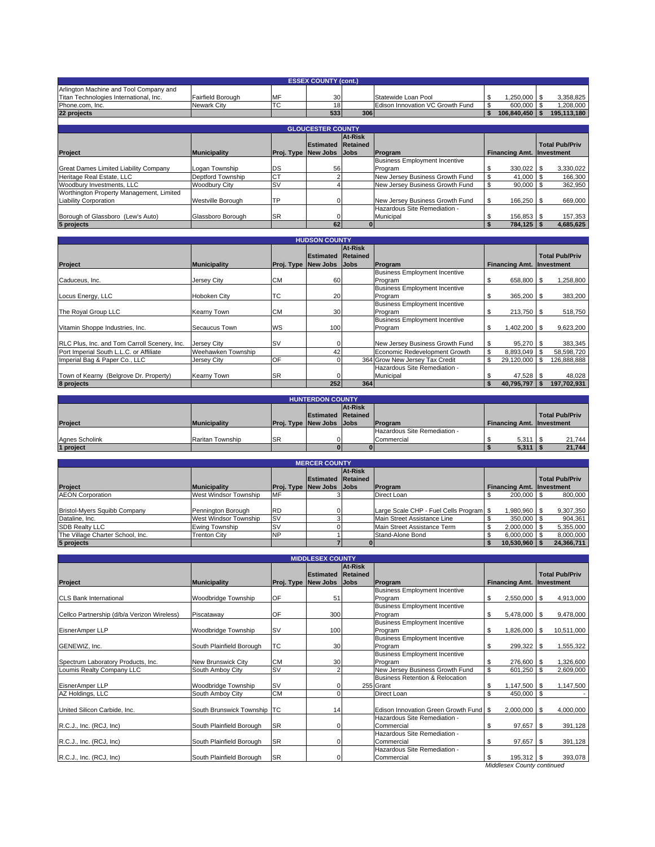|                                        | <b>ESSEX COUNTY (cont.)</b> |            |     |     |                                  |  |              |  |             |  |  |  |
|----------------------------------------|-----------------------------|------------|-----|-----|----------------------------------|--|--------------|--|-------------|--|--|--|
| Arlington Machine and Tool Company and |                             |            |     |     |                                  |  |              |  |             |  |  |  |
| Titan Technologies International, Inc. | Fairfield Borough           | <b>IMF</b> | 30  |     | Statewide Loan Pool              |  | 1.250.000 \$ |  | 3.358.825   |  |  |  |
| Phone.com. Inc.                        | Newark City                 | ITC        | 18  |     | Edison Innovation VC Growth Fund |  | 600,000 \$   |  | .208,000    |  |  |  |
| 22 projects                            |                             |            | 533 | 306 |                                  |  | 106.840.450  |  | 195.113.180 |  |  |  |
|                                        |                             |            |     |     |                                  |  |              |  |             |  |  |  |
| <b>GLOUCESTER COUNTY</b>               |                             |            |     |     |                                  |  |              |  |             |  |  |  |

|                                          |                     |           |                                 | At-Risk |                                      |                                  |                       |
|------------------------------------------|---------------------|-----------|---------------------------------|---------|--------------------------------------|----------------------------------|-----------------------|
|                                          |                     |           | <b>Estimated Retained</b>       |         |                                      |                                  | <b>Total Pub/Priv</b> |
| Project                                  | <b>Municipality</b> |           | <b>Proj. Type New Jobs Jobs</b> |         | <b>IProgram</b>                      | <b>Financing Amt. Investment</b> |                       |
|                                          |                     |           |                                 |         | <b>Business Employment Incentive</b> |                                  |                       |
| Great Dames Limited Liability Company    | Logan Township      | DS        | 56                              |         | Program                              | 330,022 \$                       | 3,330,022             |
| Heritage Real Estate, LLC                | Deptford Township   | <b>CT</b> |                                 |         | New Jersey Business Growth Fund      | 41,000 \$                        | 166,300               |
| Woodbury Investments, LLC                | Woodbury City       | <b>SV</b> |                                 |         | New Jersey Business Growth Fund      | $90,000$ \$                      | 362,950               |
| Worthington Property Management, Limited |                     |           |                                 |         |                                      |                                  |                       |
| <b>Liability Corporation</b>             | Westville Borough   | TP        |                                 |         | New Jersey Business Growth Fund      | 166,250 \$                       | 669,000               |
|                                          |                     |           |                                 |         | Hazardous Site Remediation -         |                                  |                       |
| Borough of Glassboro (Lew's Auto)        | Glassboro Borough   | <b>SR</b> |                                 |         | Municipal                            | 156,853 \$                       | 157,353               |
| 5 projects                               |                     |           | 62                              |         |                                      | 784.125                          | 4.685.625             |

|                                              |                     |                            | <b>HUDSON COUNTY</b>      |             |                                      |                                  |                       |
|----------------------------------------------|---------------------|----------------------------|---------------------------|-------------|--------------------------------------|----------------------------------|-----------------------|
|                                              |                     |                            |                           | At-Risk     |                                      |                                  |                       |
|                                              |                     |                            | <b>Estimated Retained</b> |             |                                      |                                  | <b>Total Pub/Priv</b> |
| Project                                      | <b>Municipality</b> | <b>Proj. Type New Jobs</b> |                           | <b>Jobs</b> | Program                              | <b>Financing Amt. Investment</b> |                       |
|                                              |                     |                            |                           |             | <b>Business Employment Incentive</b> |                                  |                       |
| Caduceus, Inc.                               | Jersey City         | <b>CM</b>                  | 60                        |             | Program                              | \$<br>658,800 \$                 | 1,258,800             |
|                                              |                     |                            |                           |             | <b>Business Employment Incentive</b> |                                  |                       |
| Locus Energy, LLC                            | Hoboken City        | Iтс                        | 20                        |             | Program                              | \$<br>365,200 \$                 | 383,200               |
|                                              |                     |                            |                           |             | <b>Business Employment Incentive</b> |                                  |                       |
| The Royal Group LLC                          | Kearny Town         | <b>CM</b>                  | 30                        |             | Program                              | \$<br>213,750 \$                 | 518,750               |
|                                              |                     |                            |                           |             | <b>Business Employment Incentive</b> |                                  |                       |
| Vitamin Shoppe Industries, Inc.              | Secaucus Town       | WS                         | 100                       |             | Program                              | \$<br>1,402,200                  | 9,623,200             |
|                                              |                     |                            |                           |             |                                      |                                  |                       |
| RLC Plus, Inc. and Tom Carroll Scenery, Inc. | Jersey City         | <b>SV</b>                  |                           |             | New Jersey Business Growth Fund      | 95,270 \$                        | 383,345               |
| Port Imperial South L.L.C. or Affiliate      | Weehawken Township  |                            | 42                        |             | Economic Redevelopment Growth        | 8,893,049                        | 58,598,720            |
| Imperial Bag & Paper Co., LLC                | Jersey City         | OF                         |                           |             | 364 Grow New Jersey Tax Credit       | 29,120,000                       | 126,888,888           |
|                                              |                     |                            |                           |             | Hazardous Site Remediation -         |                                  |                       |
| Town of Kearny (Belgrove Dr. Property)       | Kearny Town         | <b>SR</b>                  |                           |             | Municipal                            | 47,528 \$                        | 48,028                |
| 8 projects                                   |                     |                            | 252                       | 364         |                                      | 40,795,797                       | 197,702,931           |

| <b>HUNTERDON COUNTY</b> |                     |            |                                 |         |                              |                                  |                       |                       |        |  |  |
|-------------------------|---------------------|------------|---------------------------------|---------|------------------------------|----------------------------------|-----------------------|-----------------------|--------|--|--|
|                         |                     |            |                                 | At-Risk |                              |                                  |                       |                       |        |  |  |
|                         |                     |            | <b>Estimated Retained</b>       |         |                              |                                  |                       | <b>Total Pub/Priv</b> |        |  |  |
| <b>Project</b>          | <b>Municipality</b> |            | <b>Proj. Type New Jobs Jobs</b> |         | <b>IProgram</b>              | <b>Financing Amt. Investment</b> |                       |                       |        |  |  |
|                         |                     |            |                                 |         | Hazardous Site Remediation - |                                  |                       |                       |        |  |  |
| Agnes Scholink          | Raritan Township    | <b>ISR</b> |                                 |         | Commercial                   |                                  | $5,311$ \$            |                       | 21.744 |  |  |
| 1 project               |                     |            |                                 |         |                              |                                  | $5,311$ $\frac{1}{3}$ |                       | 21.744 |  |  |

| <b>MERCER COUNTY</b>             |                       |            |                                 |         |                                         |                                  |                       |  |  |
|----------------------------------|-----------------------|------------|---------------------------------|---------|-----------------------------------------|----------------------------------|-----------------------|--|--|
|                                  |                       |            |                                 | At-Risk |                                         |                                  |                       |  |  |
|                                  |                       |            | <b>Estimated Retained</b>       |         |                                         |                                  | <b>Total Pub/Priv</b> |  |  |
| Project                          | <b>Municipality</b>   |            | <b>Proj. Type New Jobs Jobs</b> |         | <b>IProgram</b>                         | <b>Financing Amt. Investment</b> |                       |  |  |
| <b>AEON Corporation</b>          | West Windsor Township | <b>MF</b>  |                                 |         | Direct Loan                             | 200,000 \$                       | 800,000               |  |  |
|                                  |                       |            |                                 |         |                                         |                                  |                       |  |  |
| Bristol-Myers Squibb Company     | Pennington Borough    | <b>IRD</b> |                                 |         | Large Scale CHP - Fuel Cells Program \$ | 1.980.960 \$                     | 9,307,350             |  |  |
| Dataline, Inc.                   | West Windsor Township | <b>SV</b>  |                                 |         | Main Street Assistance Line             | 350,000                          | 904,361               |  |  |
| <b>SDB Realty LLC</b>            | Ewing Township        | S١         |                                 |         | Main Street Assistance Term             | 2.000.000                        | 5,355,000             |  |  |
| The Village Charter School, Inc. | <b>Trenton City</b>   | <b>INP</b> |                                 |         | Stand-Alone Bond                        | 6.000.000                        | 8,000,000             |  |  |
| 5 projects                       |                       |            |                                 |         |                                         | 10,530,960                       | 24.366.711            |  |  |

|                                             |                             |            | <b>MIDDLESEX COUNTY</b>                      |                        |                                                         |                                  |                       |
|---------------------------------------------|-----------------------------|------------|----------------------------------------------|------------------------|---------------------------------------------------------|----------------------------------|-----------------------|
| Project                                     | <b>Municipality</b>         | Proj. Type | <b>Estimated Retained</b><br><b>New Jobs</b> | At-Risk<br><b>Jobs</b> | Program                                                 | <b>Financing Amt. Investment</b> | <b>Total Pub/Priv</b> |
| <b>CLS Bank International</b>               | Woodbridge Township         | OF         | 51                                           |                        | <b>Business Employment Incentive</b><br>Program         | \$<br>$2,550,000$ \$             | 4,913,000             |
| Cellco Partnership (d/b/a Verizon Wireless) | Piscataway                  | OF         | 300                                          |                        | <b>Business Employment Incentive</b><br>Program         | \$<br>5,478,000 \$               | 9,478,000             |
| EisnerAmper LLP                             | Woodbridge Township         | <b>SV</b>  | 100                                          |                        | <b>Business Employment Incentive</b><br>Program         | 1,826,000 \$<br>\$               | 10,511,000            |
| GENEWIZ, Inc.                               | South Plainfield Borough    | <b>TC</b>  | 30                                           |                        | <b>Business Employment Incentive</b><br>Program         | \$<br>299,322 \$                 | 1,555,322             |
| Spectrum Laboratory Products, Inc.          | New Brunswick City          | <b>CM</b>  | 30                                           |                        | <b>Business Employment Incentive</b><br>Program         | \$<br>276,600 \$                 | 1,326,600             |
| Loumis Realty Company LLC                   | South Amboy City            | <b>SV</b>  | 2                                            |                        | New Jersey Business Growth Fund                         | \$<br>601,250                    | \$<br>2,609,000       |
| EisnerAmper LLP                             | Woodbridge Township         | <b>SV</b>  |                                              |                        | <b>Business Retention &amp; Relocation</b><br>255 Grant | \$<br>$1,147,500$ \ \$           | 1,147,500             |
| AZ Holdings, LLC                            | South Amboy City            | <b>CM</b>  | $\Omega$                                     |                        | Direct Loan                                             | \$<br>450,000                    | S                     |
| United Silicon Carbide, Inc.                | South Brunswick Township TC |            | 14                                           |                        | Edison Innovation Green Growth Fund \$                  | $2,000,000$ \$                   | 4,000,000             |
| R.C.J., Inc. (RCJ, Inc)                     | South Plainfield Borough    | <b>SR</b>  | $\Omega$                                     |                        | Hazardous Site Remediation -<br>Commercial              | 97,657<br>\$                     | 391,128<br>\$         |
| R.C.J., Inc. (RCJ, Inc)                     | South Plainfield Borough    | <b>SR</b>  | $\Omega$                                     |                        | Hazardous Site Remediation -<br>Commercial              | \$<br>97,657                     | l \$<br>391,128       |
| R.C.J., Inc. (RCJ, Inc)                     | South Plainfield Borough    | <b>SR</b>  | $\Omega$                                     |                        | Hazardous Site Remediation -<br>Commercial              | 195,312 \$<br>\$                 | 393,078               |

*Middlesex County continued*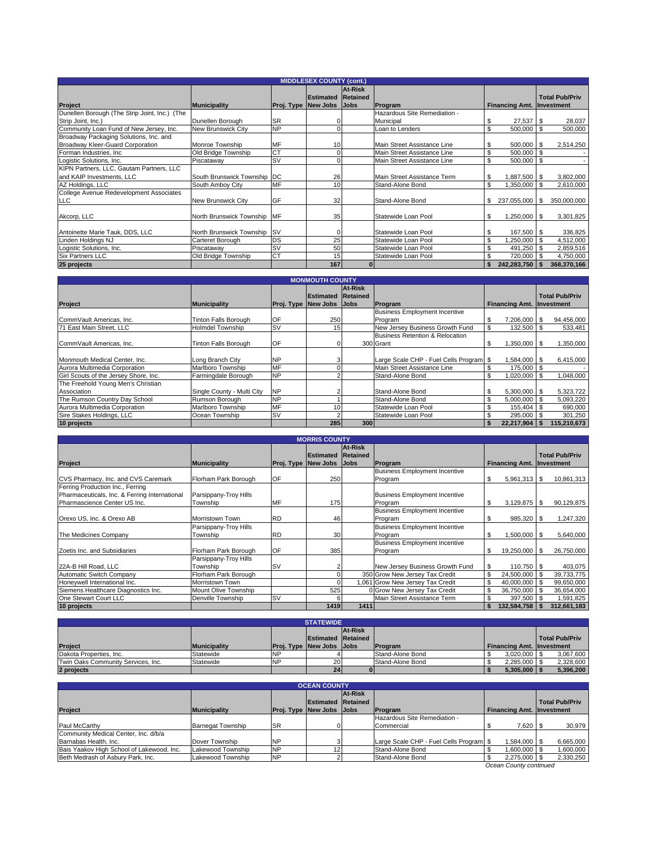|                                               |                             |           | <b>MIDDLESEX COUNTY (cont.)</b> |          |                              |     |                                  |              |                       |
|-----------------------------------------------|-----------------------------|-----------|---------------------------------|----------|------------------------------|-----|----------------------------------|--------------|-----------------------|
|                                               |                             |           |                                 | At-Risk  |                              |     |                                  |              |                       |
|                                               |                             |           | <b>Estimated</b>                | Retained |                              |     |                                  |              | <b>Total Pub/Priv</b> |
| Project                                       | <b>Municipality</b>         |           | <b>Proj. Type New Jobs Jobs</b> |          | Program                      |     | <b>Financing Amt. Investment</b> |              |                       |
| Dunellen Borough (The Strip Joint, Inc.) (The |                             |           |                                 |          | Hazardous Site Remediation - |     |                                  |              |                       |
| Strip Joint, Inc.)                            | Dunellen Borough            | <b>SR</b> |                                 |          | Municipal                    | S.  | $27,537$ \$                      |              | 28,037                |
| Community Loan Fund of New Jersey, Inc.       | New Brunswick City          | <b>NP</b> |                                 |          | Loan to Lenders              | \$  | 500,000                          | $\mathbf{s}$ | 500,000               |
| Broadway Packaging Solutions, Inc. and        |                             |           |                                 |          |                              |     |                                  |              |                       |
| Broadway Kleer-Guard Corporation              | Monroe Township             | <b>MF</b> | 10                              |          | Main Street Assistance Line  | \$  | 500,000 \$                       |              | 2,514,250             |
| Forman Industries, Inc.                       | Old Bridge Township         | <b>CT</b> |                                 |          | Main Street Assistance Line  | \$  | 500,000 \$                       |              |                       |
| Logistic Solutions, Inc.                      | Piscataway                  | <b>SV</b> |                                 |          | Main Street Assistance Line  | \$. | 500,000 \$                       |              |                       |
| KIPN Partners, LLC, Gautam Partners, LLC      |                             |           |                                 |          |                              |     |                                  |              |                       |
| and KAIP Investments, LLC                     | South Brunswick Township DC |           | 26                              |          | Main Street Assistance Term  |     | 1,887,500 \$                     |              | 3,802,000             |
| AZ Holdings, LLC                              | South Amboy City            | MF        | 10                              |          | Stand-Alone Bond             | \$  | $,350,000$ \ \$                  |              | 2,610,000             |
| College Avenue Redevelopment Associates       |                             |           |                                 |          |                              |     |                                  |              |                       |
| <b>LLC</b>                                    | New Brunswick City          | GF        | 32                              |          | Stand-Alone Bond             | \$  | 237,055,000 \$                   |              | 350,000,000           |
|                                               |                             |           |                                 |          |                              |     |                                  |              |                       |
| Akcorp, LLC                                   | North Brunswick Township MF |           | 35                              |          | Statewide Loan Pool          | \$. | $.250,000$ \ \$                  |              | 3,301,825             |
|                                               |                             |           |                                 |          |                              |     |                                  |              |                       |
| Antoinette Marie Tauk, DDS, LLC               | North Brunswick Township SV |           |                                 |          | Statewide Loan Pool          | \$  | 167,500 \$                       |              | 336,825               |
| Linden Holdings NJ                            | Carteret Borough            | DS        | 25                              |          | Statewide Loan Pool          | \$  | $,250,000$ \$                    |              | 4,512,000             |
| Logistic Solutions, Inc.                      | Piscataway                  | <b>SV</b> | 50                              |          | Statewide Loan Pool          | \$  | 491,250                          |              | 2,859,516             |
| <b>Six Partners LLC</b>                       | Old Bridge Township         | <b>CT</b> | 15                              |          | Statewide Loan Pool          | \$  | 720,000                          |              | 4,750,000             |
| 25 projects                                   |                             |           | 167                             | $\bf{0}$ |                              |     | 242,283,750                      |              | 368,370,166           |

| <b>MONMOUTH COUNTY</b>                |                             |           |                                 |          |                                         |                                  |  |                       |
|---------------------------------------|-----------------------------|-----------|---------------------------------|----------|-----------------------------------------|----------------------------------|--|-----------------------|
|                                       |                             |           |                                 | At-Risk  |                                         |                                  |  |                       |
|                                       |                             |           | Estimated                       | Retained |                                         |                                  |  | <b>Total Pub/Priv</b> |
| Project                               | <b>Municipality</b>         |           | <b>Proj. Type New Jobs Jobs</b> |          | Program                                 | <b>Financing Amt. Investment</b> |  |                       |
|                                       |                             |           |                                 |          | <b>Business Employment Incentive</b>    |                                  |  |                       |
| CommVault Americas, Inc.              | <b>Tinton Falls Borough</b> | OF        | 250                             |          | Program                                 | 7.206.000 \$<br>\$               |  | 94,456,000            |
| 71 East Main Street, LLC              | Holmdel Township            | <b>SV</b> | 15                              |          | New Jersey Business Growth Fund         | \$<br>132,500                    |  | 533,481               |
|                                       |                             |           |                                 |          | Business Retention & Relocation         |                                  |  |                       |
| CommVault Americas, Inc.              | <b>Tinton Falls Borough</b> | OF        |                                 |          | 300 Grant                               | $1,350,000$ \ \$<br>\$           |  | 1,350,000             |
|                                       |                             |           |                                 |          |                                         |                                  |  |                       |
| Monmouth Medical Center, Inc.         | Long Branch City            | <b>NP</b> |                                 |          | Large Scale CHP - Fuel Cells Program \$ | 1,584,000 \$                     |  | 6,415,000             |
| Aurora Multimedia Corporation         | Marlboro Township           | MF        |                                 |          | Main Street Assistance Line             | 175,000 \$                       |  |                       |
| Girl Scouts of the Jersey Shore, Inc. | Farmingdale Borough         | <b>NP</b> |                                 |          | Stand-Alone Bond                        | 1,020,000<br>\$                  |  | 1,048,000             |
| The Freehold Young Men's Christian    |                             |           |                                 |          |                                         |                                  |  |                       |
| Association                           | Single County - Multi City  | <b>NP</b> |                                 |          | Stand-Alone Bond                        | $5,300,000$ \$<br>\$             |  | 5,323,722             |
| The Rumson Country Day School         | Rumson Borough              | <b>NP</b> |                                 |          | Stand-Alone Bond                        | \$<br>$5.000.000$ S              |  | 5,093,220             |
| Aurora Multimedia Corporation         | Marlboro Township           | MF        | 10 <sup>1</sup>                 |          | Statewide Loan Pool                     | \$<br>155,404 \$                 |  | 690,000               |
| Sire Stakes Holdings, LLC             | Ocean Township              | <b>SV</b> |                                 |          | Statewide Loan Pool                     | 295,000 \$                       |  | 301,250               |
| 10 projects                           |                             |           | 285                             | 300      |                                         | 22,217,904                       |  | 115,210,673           |

| <b>MORRIS COUNTY</b>                                                                                              |                                   |           |                                                |                                    |                                                 |    |                       |  |                                     |
|-------------------------------------------------------------------------------------------------------------------|-----------------------------------|-----------|------------------------------------------------|------------------------------------|-------------------------------------------------|----|-----------------------|--|-------------------------------------|
| <b>Project</b>                                                                                                    | <b>Municipality</b>               |           | <b>Estimated</b><br><b>Proj. Type New Jobs</b> | At-Risk<br>Retained<br><b>Jobs</b> | Program                                         |    | <b>Financing Amt.</b> |  | <b>Total Pub/Priv</b><br>Investment |
|                                                                                                                   |                                   |           |                                                |                                    | <b>Business Employment Incentive</b>            |    |                       |  |                                     |
| CVS Pharmacy, Inc. and CVS Caremark                                                                               | Florham Park Borough              | <b>OF</b> | 250                                            |                                    | Program                                         | \$ | $5,961,313$ \$        |  | 10,861,313                          |
| Ferring Production Inc., Ferring<br>Pharmaceuticals, Inc. & Ferring International<br>Pharmascience Center US Inc. | Parsippany-Troy Hills<br>Township | MF        | 175                                            |                                    | <b>Business Employment Incentive</b><br>Program | \$ | $3,129,875$ \$        |  | 90,129,875                          |
| Orexo US, Inc. & Orexo AB                                                                                         | <b>Morristown Town</b>            | <b>RD</b> | 46                                             |                                    | <b>Business Employment Incentive</b><br>Program | \$ | 985,320 \$            |  | 1,247,320                           |
| The Medicines Company                                                                                             | Parsippany-Troy Hills<br>Township | <b>RD</b> | 30 <sup>1</sup>                                |                                    | <b>Business Employment Incentive</b><br>Program | \$ | 1.500.000 \$          |  | 5,640,000                           |
| Zoetis Inc. and Subsidiaries                                                                                      | Florham Park Borough              | <b>OF</b> | 385                                            |                                    | <b>Business Employment Incentive</b><br>Program | \$ | 19,250,000 \$         |  | 26,750,000                          |
| 22A-B Hill Road, LLC                                                                                              | Parsippany-Troy Hills<br>Township | <b>SV</b> |                                                |                                    | New Jersey Business Growth Fund                 | \$ | 110,750 \$            |  | 403,075                             |
| Automatic Switch Company                                                                                          | Florham Park Borough              |           |                                                |                                    | 350 Grow New Jersey Tax Credit                  | \$ | 24,500,000 \$         |  | 39,733,775                          |
| Honeywell International Inc.                                                                                      | Morristown Town                   |           |                                                |                                    | 1,061 Grow New Jersey Tax Credit                | \$ | 40,000,000 \$         |  | 99,650,000                          |
| Siemens Healthcare Diagnostics Inc.                                                                               | Mount Olive Township              |           | 525                                            |                                    | 0 Grow New Jersey Tax Credit                    | \$ | 36,750,000 \$         |  | 36,654,000                          |
| One Stewart Court LLC                                                                                             | Denville Township                 | <b>SV</b> |                                                |                                    | Main Street Assistance Term                     | \$ | 397,500               |  | 1,591,825                           |
| 10 projects                                                                                                       |                                   |           | 1419                                           | 1411                               |                                                 |    | 132,584,758           |  | 312,661,183                         |

|                                    | <b>STATEWIDE</b>    |           |                                 |  |                  |                                  |                       |  |  |  |
|------------------------------------|---------------------|-----------|---------------------------------|--|------------------|----------------------------------|-----------------------|--|--|--|
|                                    | At-Risk             |           |                                 |  |                  |                                  |                       |  |  |  |
|                                    |                     |           | <b>Estimated Retained</b>       |  |                  |                                  | <b>Total Pub/Priv</b> |  |  |  |
| Project                            | <b>Municipality</b> |           | <b>Proj. Type New Jobs Jobs</b> |  | <b>IProgram</b>  | <b>Financing Amt. Investment</b> |                       |  |  |  |
| Dakota Properties, Inc.            | Statewide           | <b>NP</b> |                                 |  | Stand-Alone Bond | $3.020.000$ S                    | 3,067,600             |  |  |  |
| Twin Oaks Community Services, Inc. | Statewide           | <b>NP</b> | 20 <sup>1</sup>                 |  | Stand-Alone Bond | $2.285.000$ \ \$                 | 2,328,600             |  |  |  |
| 2 projects                         |                     |           | 24                              |  |                  | 5,305,000                        | 5.396.200             |  |  |  |

|                                                                                |                          |            | <b>OCEAN COUNTY</b>             |         |                                         |                                  |                       |
|--------------------------------------------------------------------------------|--------------------------|------------|---------------------------------|---------|-----------------------------------------|----------------------------------|-----------------------|
|                                                                                |                          |            |                                 | At-Risk |                                         |                                  |                       |
|                                                                                |                          |            | <b>Estimated Retained</b>       |         |                                         |                                  | <b>Total Pub/Priv</b> |
| Project                                                                        | Municipality             |            | <b>Proj. Type New Jobs Jobs</b> |         | <b>IProgram</b>                         | <b>Financing Amt. Investment</b> |                       |
|                                                                                |                          |            |                                 |         | Hazardous Site Remediation -            |                                  |                       |
| Paul McCarthy                                                                  | <b>Barnegat Township</b> | <b>ISR</b> |                                 |         | Commercial                              | 7.620                            | 30,979                |
| Community Medical Center, Inc. d/b/a                                           |                          |            |                                 |         |                                         |                                  |                       |
| Barnabas Health, Inc.                                                          | Dover Township           | <b>NP</b>  |                                 |         | Large Scale CHP - Fuel Cells Program \$ | $1,584,000$ \ \$                 | 6,665,000             |
|                                                                                | Lakewood Township        | <b>NP</b>  |                                 |         | Stand-Alone Bond                        | 1,600,000 \$                     | 000,000,1             |
|                                                                                | Lakewood Township        | <b>NP</b>  |                                 |         | Stand-Alone Bond                        | 2,275,000 \$                     | 2,330,250             |
| Bais Yaakov High School of Lakewood, Inc.<br>Beth Medrash of Asbury Park, Inc. |                          |            |                                 |         |                                         |                                  |                       |

*Ocean County continued*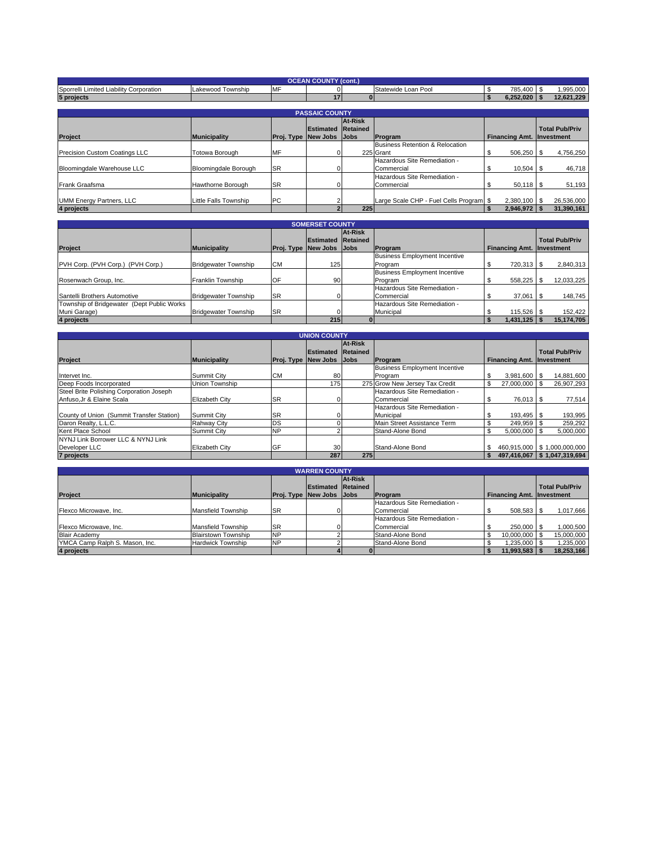| <b>OCEAN COUNTY (cont.)</b>             |                       |                                 |                           |         |                                         |                                  |  |                       |  |
|-----------------------------------------|-----------------------|---------------------------------|---------------------------|---------|-----------------------------------------|----------------------------------|--|-----------------------|--|
| Sporrelli Limited Liability Corporation | Lakewood Township     | <b>MF</b>                       |                           |         | Statewide Loan Pool                     | 785,400 \$                       |  | 1,995,000             |  |
| 5 projects                              |                       |                                 | 17                        |         |                                         | $6,252,020$ \$<br>- 55           |  | 12,621,229            |  |
|                                         |                       |                                 |                           |         |                                         |                                  |  |                       |  |
|                                         |                       |                                 | <b>PASSAIC COUNTY</b>     |         |                                         |                                  |  |                       |  |
|                                         |                       |                                 |                           | At-Risk |                                         |                                  |  |                       |  |
|                                         |                       |                                 | <b>Estimated Retained</b> |         |                                         |                                  |  | <b>Total Pub/Priv</b> |  |
| <b>Project</b>                          | <b>Municipality</b>   | <b>Proj. Type New Jobs Jobs</b> |                           |         | Program                                 | <b>Financing Amt. Investment</b> |  |                       |  |
|                                         |                       |                                 |                           |         | Business Retention & Relocation         |                                  |  |                       |  |
| Precision Custom Coatings LLC           | Totowa Borough        | <b>MF</b>                       |                           |         | 225 Grant                               | \$<br>506,250 \$                 |  | 4,756,250             |  |
|                                         |                       |                                 |                           |         | Hazardous Site Remediation -            |                                  |  |                       |  |
| Bloomingdale Warehouse LLC              | Bloomingdale Borough  | <b>SR</b>                       |                           |         | Commercial                              | $10,504$ \$                      |  | 46,718                |  |
|                                         |                       |                                 |                           |         | Hazardous Site Remediation -            |                                  |  |                       |  |
| <b>Frank Graafsma</b>                   | Hawthorne Borough     | <b>SR</b>                       |                           |         | Commercial                              | $50,118$ \ \$                    |  | 51,193                |  |
|                                         |                       |                                 |                           |         |                                         |                                  |  |                       |  |
| <b>UMM Energy Partners, LLC</b>         | Little Falls Township | <b>PC</b>                       |                           |         | Large Scale CHP - Fuel Cells Program \$ | 2,380,100 \$                     |  | 26,536,000            |  |
| 4 projects                              |                       |                                 |                           | 225     |                                         | $2,946,972$ \$<br>-S             |  | 31,390,161            |  |

| <b>SOMERSET COUNTY</b>                     |                             |                                 |                           |         |                                      |                                  |                       |  |  |
|--------------------------------------------|-----------------------------|---------------------------------|---------------------------|---------|--------------------------------------|----------------------------------|-----------------------|--|--|
|                                            |                             |                                 |                           | At-Risk |                                      |                                  |                       |  |  |
|                                            |                             |                                 | <b>Estimated Retained</b> |         |                                      |                                  | <b>Total Pub/Priv</b> |  |  |
| <b>Project</b>                             | <b>Municipality</b>         | <b>Proj. Type New Jobs Jobs</b> |                           |         | Program                              | <b>Financing Amt. Investment</b> |                       |  |  |
|                                            |                             |                                 |                           |         | <b>Business Employment Incentive</b> |                                  |                       |  |  |
| PVH Corp. (PVH Corp.) (PVH Corp.)          | <b>Bridgewater Township</b> | <b>CM</b>                       | 125                       |         | Program                              | 720.313   \$                     | 2,840,313             |  |  |
|                                            |                             |                                 |                           |         | <b>Business Employment Incentive</b> |                                  |                       |  |  |
| Rosenwach Group, Inc.                      | Franklin Township           | OF                              | 90                        |         | Program                              | 558,225 \$                       | 12,033,225            |  |  |
|                                            |                             |                                 |                           |         | Hazardous Site Remediation -         |                                  |                       |  |  |
| Santelli Brothers Automotive               | <b>Bridgewater Township</b> | <b>SR</b>                       |                           |         | Commercial                           | 37.061                           | 148,745               |  |  |
| Township of Bridgewater (Dept Public Works |                             |                                 |                           |         | Hazardous Site Remediation -         |                                  |                       |  |  |
| Muni Garage)                               | <b>Bridgewater Township</b> | <b>SR</b>                       |                           |         | Municipal                            |                                  | 152,422               |  |  |
| 4 projects                                 |                             |                                 | 215                       |         |                                      | 1,431,125                        | 15,174,705            |  |  |

| <b>UNION COUNTY</b>                       |                       |           |                                 |         |                                      |  |                                  |  |                               |
|-------------------------------------------|-----------------------|-----------|---------------------------------|---------|--------------------------------------|--|----------------------------------|--|-------------------------------|
|                                           |                       |           |                                 | At-Risk |                                      |  |                                  |  |                               |
|                                           |                       |           | <b>Estimated Retained</b>       |         |                                      |  |                                  |  | <b>Total Pub/Priv</b>         |
| Project                                   | <b>Municipality</b>   |           | <b>Proj. Type New Jobs Jobs</b> |         | Program                              |  | <b>Financing Amt. Investment</b> |  |                               |
|                                           |                       |           |                                 |         | <b>Business Employment Incentive</b> |  |                                  |  |                               |
| Intervet Inc.                             | Summit City           | <b>CM</b> | 80                              |         | Program                              |  | $3.981.600$ \ \$                 |  | 14,881,600                    |
| Deep Foods Incorporated                   | Union Township        |           | 175                             |         | 275 Grow New Jersey Tax Credit       |  | 27.000.000   \$                  |  | 26,907,293                    |
| Steel Brite Polishing Corporation Joseph  |                       |           |                                 |         | Hazardous Site Remediation -         |  |                                  |  |                               |
| Anfuso.Jr & Elaine Scala                  | <b>Elizabeth City</b> | <b>SR</b> |                                 |         | Commercial                           |  | 76.013 \$                        |  | 77,514                        |
|                                           |                       |           |                                 |         | Hazardous Site Remediation -         |  |                                  |  |                               |
| County of Union (Summit Transfer Station) | Summit City           | <b>SR</b> |                                 |         | Municipal                            |  |                                  |  | 193,995                       |
| Daron Realty, L.L.C.                      | <b>Rahway City</b>    | DS        |                                 |         | Main Street Assistance Term          |  | 249.959                          |  | 259,292                       |
| Kent Place School                         | Summit City           | <b>NP</b> |                                 |         | Stand-Alone Bond                     |  | 5.000.000                        |  | 5,000,000                     |
| NYNJ Link Borrower LLC & NYNJ Link        |                       |           |                                 |         |                                      |  |                                  |  |                               |
| Developer LLC                             | <b>Elizabeth City</b> | GF        | 30 <sup>1</sup>                 |         | Stand-Alone Bond                     |  |                                  |  | 460,915,000   \$1,000,000,000 |
| 7 projects                                |                       |           | 287                             | 275     |                                      |  |                                  |  | 497.416.067   \$1.047.319.694 |

| <b>WARREN COUNTY</b>           |                            |           |                                 |         |                              |                                  |                       |  |  |
|--------------------------------|----------------------------|-----------|---------------------------------|---------|------------------------------|----------------------------------|-----------------------|--|--|
|                                |                            |           |                                 | At-Risk |                              |                                  |                       |  |  |
|                                |                            |           | <b>Estimated Retained</b>       |         |                              |                                  | <b>Total Pub/Priv</b> |  |  |
| Project                        | <b>Municipality</b>        |           | <b>Proj. Type New Jobs Jobs</b> |         | Program                      | <b>Financing Amt. Investment</b> |                       |  |  |
|                                |                            |           |                                 |         | Hazardous Site Remediation - |                                  |                       |  |  |
| Flexco Microwave, Inc.         | Mansfield Township         | <b>SR</b> |                                 |         | Commercial                   | 508,583 \$                       | 1,017,666             |  |  |
|                                |                            |           |                                 |         | Hazardous Site Remediation - |                                  |                       |  |  |
| Flexco Microwave, Inc.         | Mansfield Township         | <b>SR</b> |                                 |         | Commercial                   | 250,000 \$                       | 1,000,500             |  |  |
| <b>Blair Academy</b>           | <b>Blairstown Township</b> | <b>NP</b> |                                 |         | Stand-Alone Bond             | 10,000,000                       | 15,000,000            |  |  |
| YMCA Camp Ralph S. Mason, Inc. | <b>Hardwick Township</b>   | <b>NP</b> |                                 |         | Stand-Alone Bond             | 1,235,000                        | 1,235,000             |  |  |
| 4 projects                     |                            |           |                                 |         |                              | 11,993,583                       | 18,253,166            |  |  |